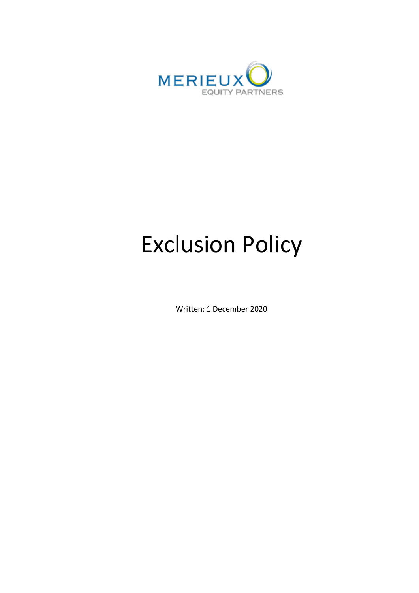

# Exclusion Policy

Written: 1 December 2020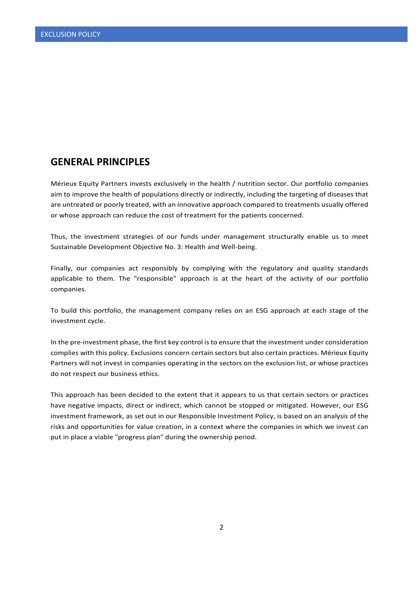#### **GENERAL PRINCIPLES**

Mérieux Equity Partners invests exclusively in the health / nutrition sector. Our portfolio companies aim to improve the health of populations directly or indirectly, including the targeting of diseases that are untreated or poorly treated, with an innovative approach compared to treatments usually offered or whose approach can reduce the cost of treatment for the patients concerned.

Thus, the investment strategies of our funds under management structurally enable us to meet Sustainable Development Objective No. 3: Health and Well-being.

Finally, our companies act responsibly by complying with the regulatory and quality standards applicable to them. The "responsible" approach is at the heart of the activity of our portfolio companies.

To build this portfolio, the management company relies on an ESG approach at each stage of the investment cycle.

In the pre-investment phase, the first key control is to ensure that the investment under consideration complies with this policy. Exclusions concern certain sectors but also certain practices. Mérieux Equity Partners will not invest in companies operating in the sectors on the exclusion list, or whose practices do not respect our business ethics.

This approach has been decided to the extent that it appears to us that certain sectors or practices have negative impacts, direct or indirect, which cannot be stopped or mitigated. However, our ESG investment framework, as set out in our Responsible Investment Policy, is based on an analysis of the risks and opportunities for value creation, in a context where the companies in which we invest can put in place a viable "progress plan" during the ownership period.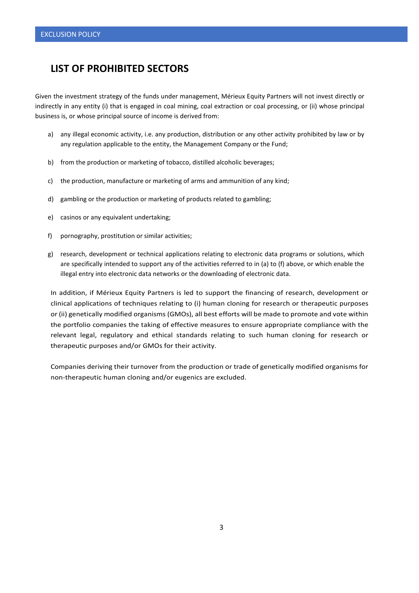### **LIST OF PROHIBITED SECTORS**

Given the investment strategy of the funds under management, Mérieux Equity Partners will not invest directly or indirectly in any entity (i) that is engaged in coal mining, coal extraction or coal processing, or (ii) whose principal business is, or whose principal source of income is derived from:

- a) any illegal economic activity, i.e. any production, distribution or any other activity prohibited by law or by any regulation applicable to the entity, the Management Company or the Fund;
- b) from the production or marketing of tobacco, distilled alcoholic beverages;
- c) the production, manufacture or marketing of arms and ammunition of any kind;
- d) gambling or the production or marketing of products related to gambling;
- e) casinos or any equivalent undertaking;
- f) pornography, prostitution or similar activities;
- g) research, development or technical applications relating to electronic data programs or solutions, which are specifically intended to support any of the activities referred to in (a) to (f) above, or which enable the illegal entry into electronic data networks or the downloading of electronic data.

In addition, if Mérieux Equity Partners is led to support the financing of research, development or clinical applications of techniques relating to (i) human cloning for research or therapeutic purposes or (ii) genetically modified organisms (GMOs), all best efforts will be made to promote and vote within the portfolio companies the taking of effective measures to ensure appropriate compliance with the relevant legal, regulatory and ethical standards relating to such human cloning for research or therapeutic purposes and/or GMOs for their activity.

Companies deriving their turnover from the production or trade of genetically modified organisms for non-therapeutic human cloning and/or eugenics are excluded.